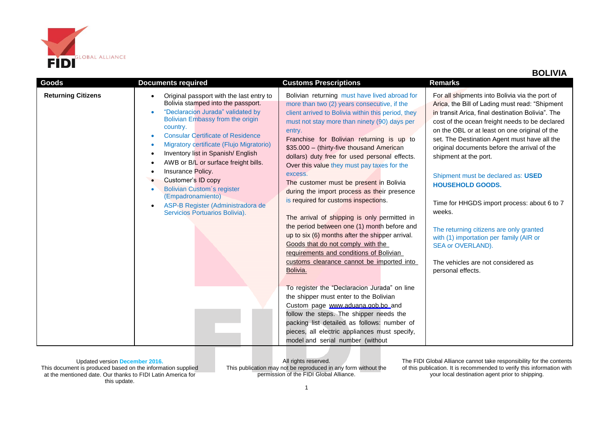

| <b>Goods</b>              | <b>Documents required</b>                                                                                                                                                                                                                                                                                                                                                                                                                                                                                                              | <b>Customs Prescriptions</b>                                                                                                                                                                                                                                                                                                                                                                                                                                                                                                                                                                                                                                                                                                                                                                                                                                                                                                                                                                                                                                                                                                                                 | <b>Remarks</b>                                                                                                                                                                                                                                                                                                                                                                                                                                                                                                                                                                                                                                                                    |
|---------------------------|----------------------------------------------------------------------------------------------------------------------------------------------------------------------------------------------------------------------------------------------------------------------------------------------------------------------------------------------------------------------------------------------------------------------------------------------------------------------------------------------------------------------------------------|--------------------------------------------------------------------------------------------------------------------------------------------------------------------------------------------------------------------------------------------------------------------------------------------------------------------------------------------------------------------------------------------------------------------------------------------------------------------------------------------------------------------------------------------------------------------------------------------------------------------------------------------------------------------------------------------------------------------------------------------------------------------------------------------------------------------------------------------------------------------------------------------------------------------------------------------------------------------------------------------------------------------------------------------------------------------------------------------------------------------------------------------------------------|-----------------------------------------------------------------------------------------------------------------------------------------------------------------------------------------------------------------------------------------------------------------------------------------------------------------------------------------------------------------------------------------------------------------------------------------------------------------------------------------------------------------------------------------------------------------------------------------------------------------------------------------------------------------------------------|
| <b>Returning Citizens</b> | Original passport with the last entry to<br>Bolivia stamped into the passport.<br>"Declaracion Jurada" validated by<br>Bolivian Embassy from the origin<br>country.<br><b>Consular Certificate of Residence</b><br>۰<br>Migratory certificate (Flujo Migratorio)<br>Inventory list in Spanish/English<br>$\bullet$<br>AWB or B/L or surface freight bills.<br>Insurance Policy.<br>Customer's ID copy<br><b>Bolivian Custom's register</b><br>(Empadronamiento)<br>ASP-B Register (Administradora de<br>Servicios Portuarios Bolivia). | Bolivian returning must have lived abroad for<br>more than two (2) years consecutive, if the<br>client arrived to Bolivia within this period, they<br>must not stay more than ninety (90) days per<br>entry.<br>Franchise for Bolivian returning is up to<br>\$35.000 - (thirty-five thousand American<br>dollars) duty free for used personal effects.<br>Over this value they must pay taxes for the<br>excess.<br>The customer must be present in Bolivia<br>during the import process as their presence<br>is required for customs inspections.<br>The arrival of shipping is only permitted in<br>the period between one (1) month before and<br>up to six (6) months after the shipper arrival.<br>Goods that do not comply with the<br>requirements and conditions of Bolivian<br>customs clearance cannot be imported into<br>Bolivia.<br>To register the "Declaracion Jurada" on line<br>the shipper must enter to the Bolivian<br>Custom page www.aduana.gob.bo and<br>follow the steps. The shipper needs the<br>packing list detailed as follows: number of<br>pieces, all electric appliances must specify,<br>model and serial number (without | For all shipments into Bolivia via the port of<br>Arica, the Bill of Lading must read: "Shipment<br>in transit Arica, final destination Bolivia". The<br>cost of the ocean freight needs to be declared<br>on the OBL or at least on one original of the<br>set. The Destination Agent must have all the<br>original documents before the arrival of the<br>shipment at the port.<br>Shipment must be declared as: USED<br><b>HOUSEHOLD GOODS.</b><br>Time for HHGDS import process: about 6 to 7<br>weeks.<br>The returning citizens are only granted<br>with (1) importation per family (AIR or<br>SEA or OVERLAND).<br>The vehicles are not considered as<br>personal effects. |

All rights reserved. This publication may not be reproduced in any form without the permission of the FIDI Global Alliance.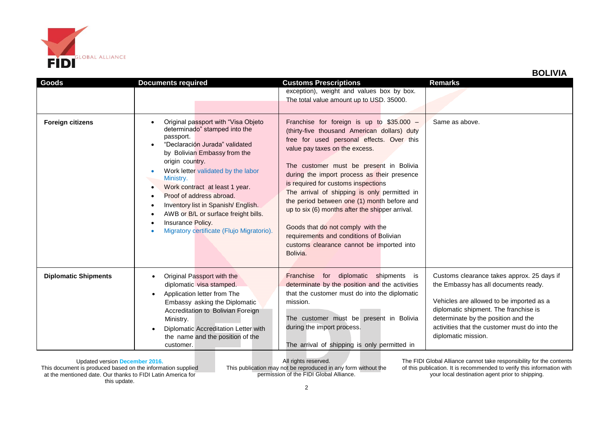

| Goods                       | <b>Documents required</b>                                                                                                                                                                                                                                                                                                                                                                                                                     | <b>Customs Prescriptions</b>                                                                                                                                                                                                                                                                                                                                                                                                                                                                                                                                                                         | <b>Remarks</b>                                                                                                                                                                                                                                                                         |
|-----------------------------|-----------------------------------------------------------------------------------------------------------------------------------------------------------------------------------------------------------------------------------------------------------------------------------------------------------------------------------------------------------------------------------------------------------------------------------------------|------------------------------------------------------------------------------------------------------------------------------------------------------------------------------------------------------------------------------------------------------------------------------------------------------------------------------------------------------------------------------------------------------------------------------------------------------------------------------------------------------------------------------------------------------------------------------------------------------|----------------------------------------------------------------------------------------------------------------------------------------------------------------------------------------------------------------------------------------------------------------------------------------|
|                             |                                                                                                                                                                                                                                                                                                                                                                                                                                               | exception), weight and values box by box.<br>The total value amount up to USD. 35000.                                                                                                                                                                                                                                                                                                                                                                                                                                                                                                                |                                                                                                                                                                                                                                                                                        |
| <b>Foreign citizens</b>     | Original passport with "Visa Objeto<br>determinado" stamped into the<br>passport.<br>"Declaración Jurada" validated<br>by Bolivian Embassy from the<br>origin country.<br>Work letter validated by the labor<br>Ministry.<br>Work contract at least 1 year.<br>٠<br>Proof of address abroad.<br>Inventory list in Spanish/ English.<br>AWB or B/L or surface freight bills.<br>Insurance Policy.<br>Migratory certificate (Flujo Migratorio). | Franchise for foreign is up to \$35.000 -<br>(thirty-five thousand American dollars) duty<br>free for used personal effects. Over this<br>value pay taxes on the excess.<br>The customer must be present in Bolivia<br>during the import process as their presence<br>is required for customs inspections<br>The arrival of shipping is only permitted in<br>the period between one (1) month before and<br>up to six (6) months after the shipper arrival.<br>Goods that do not comply with the<br>requirements and conditions of Bolivian<br>customs clearance cannot be imported into<br>Bolivia. | Same as above.                                                                                                                                                                                                                                                                         |
| <b>Diplomatic Shipments</b> | Original Passport with the<br>diplomatic visa stamped.<br>Application letter from The<br>$\bullet$<br>Embassy asking the Diplomatic<br>Accreditation to Bolivian Foreign<br>Ministry.<br>Diplomatic Accreditation Letter with<br>the name and the position of the<br>customer.                                                                                                                                                                | for diplomatic shipments<br>Franchise<br>is<br>determinate by the position and the activities<br>that the customer must do into the diplomatic<br>mission.<br>The customer must be present in Bolivia<br>during the import process.<br>The arrival of shipping is only permitted in                                                                                                                                                                                                                                                                                                                  | Customs clearance takes approx. 25 days if<br>the Embassy has all documents ready.<br>Vehicles are allowed to be imported as a<br>diplomatic shipment. The franchise is<br>determinate by the position and the<br>activities that the customer must do into the<br>diplomatic mission. |

All rights reserved. This publication may not be reproduced in any form without the permission of the FIDI Global Alliance.

The FIDI Global Alliance cannot take responsibility for the contents of this publication. It is recommended to verify this information with your local destination agent prior to shipping.

 **BOLIVIA**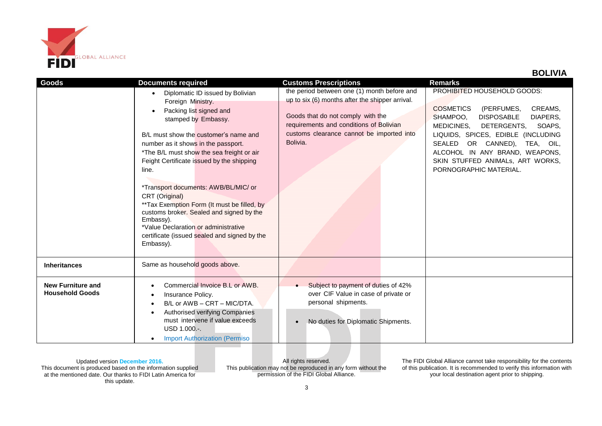

## **BOLIVIA**

| Goods                                              | <b>Documents required</b>                                                                                                                                                                                                                                                                                                                                                                                                                                                                                                                                         | <b>Customs Prescriptions</b>                                                                                                                                                                                                            | <b>Remarks</b>                                                                                                                                                                                                                                                                                                                           |
|----------------------------------------------------|-------------------------------------------------------------------------------------------------------------------------------------------------------------------------------------------------------------------------------------------------------------------------------------------------------------------------------------------------------------------------------------------------------------------------------------------------------------------------------------------------------------------------------------------------------------------|-----------------------------------------------------------------------------------------------------------------------------------------------------------------------------------------------------------------------------------------|------------------------------------------------------------------------------------------------------------------------------------------------------------------------------------------------------------------------------------------------------------------------------------------------------------------------------------------|
|                                                    | Diplomatic ID issued by Bolivian<br>Foreign Ministry.<br>Packing list signed and<br>stamped by Embassy.<br>B/L must show the customer's name and<br>number as it shows in the passport.<br>*The B/L must show the sea freight or air<br>Feight Certificate issued by the shipping<br>line.<br>*Transport documents: AWB/BL/MIC/ or<br>CRT (Original)<br>**Tax Exemption Form (It must be filled, by<br>customs broker. Sealed and signed by the<br>Embassy).<br>*Value Declaration or administrative<br>certificate (issued sealed and signed by the<br>Embassy). | the period between one (1) month before and<br>up to six (6) months after the shipper arrival.<br>Goods that do not comply with the<br>requirements and conditions of Bolivian<br>customs clearance cannot be imported into<br>Bolivia. | PROHIBITED HOUSEHOLD GOODS:<br><b>COSMETICS</b><br>(PERFUMES,<br>CREAMS,<br>SHAMPOO,<br><b>DISPOSABLE</b><br>DIAPERS,<br>MEDICINES,<br>DETERGENTS.<br>SOAPS.<br>LIQUIDS, SPICES, EDIBLE (INCLUDING<br>OR CANNED),<br>SEALED<br>TEA, OIL,<br>ALCOHOL IN ANY BRAND, WEAPONS,<br>SKIN STUFFED ANIMALS, ART WORKS,<br>PORNOGRAPHIC MATERIAL. |
| <b>Inheritances</b>                                | Same as household goods above.                                                                                                                                                                                                                                                                                                                                                                                                                                                                                                                                    |                                                                                                                                                                                                                                         |                                                                                                                                                                                                                                                                                                                                          |
| <b>New Furniture and</b><br><b>Household Goods</b> | Commercial Invoice B.L or AWB.<br>Insurance Policy.<br>B/L or AWB - CRT - MIC/DTA.<br>Authorised verifying Companies<br>must intervene if value exceeds<br>USD 1.000 .-.<br><b>Import Authorization (Permiso</b>                                                                                                                                                                                                                                                                                                                                                  | Subject to payment of duties of 42%<br>over CIF Value in case of private or<br>personal shipments.<br>No duties for Diplomatic Shipments.<br>$\bullet$                                                                                  |                                                                                                                                                                                                                                                                                                                                          |

Updated version **December 2016.** This document is produced based on the information supplied at the mentioned date. Our thanks to FIDI Latin America for this update.

All rights reserved. This publication may not be reproduced in any form without the permission of the FIDI Global Alliance.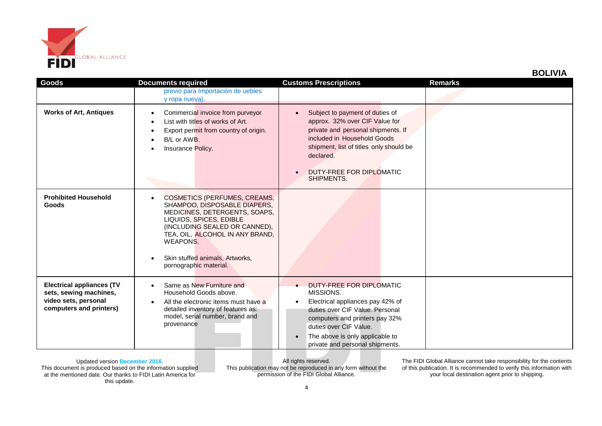

|  | <b>BOLIVIA</b> |  |  |
|--|----------------|--|--|
|--|----------------|--|--|

| Goods                                                                                                         | <b>Documents required</b>                                                                                                                                                                                                                                                                 | <b>Customs Prescriptions</b>                                                                                                                                                                                                                                | <b>Remarks</b> |
|---------------------------------------------------------------------------------------------------------------|-------------------------------------------------------------------------------------------------------------------------------------------------------------------------------------------------------------------------------------------------------------------------------------------|-------------------------------------------------------------------------------------------------------------------------------------------------------------------------------------------------------------------------------------------------------------|----------------|
|                                                                                                               | previo para Importación de uebles<br>y ropa nueva).                                                                                                                                                                                                                                       |                                                                                                                                                                                                                                                             |                |
| <b>Works of Art, Antiques</b>                                                                                 | Commercial invoice from purveyor<br>List with titles of works of Art.<br>Export permit from country of origin.<br>B/L or AWB.<br>Insurance Policy.                                                                                                                                        | Subject to payment of duties of<br>$\bullet$<br>approx. 32% over CIF Value for<br>private and personal shipments. If<br>included in Household Goods<br>shipment, list of titles only should be<br>declared.<br>DUTY-FREE FOR DIPLOMATIC<br>SHIPMENTS.       |                |
| <b>Prohibited Household</b><br><b>Goods</b>                                                                   | <b>COSMETICS (PERFUMES, CREAMS,</b><br>$\bullet$<br>SHAMPOO, DISPOSABLE DIAPERS,<br>MEDICINES, DETERGENTS, SOAPS,<br>LIQUIDS, SPICES, EDIBLE<br>(INCLUDING SEALED OR CANNED),<br>TEA, OIL, ALCOHOL IN ANY BRAND,<br>WEAPONS.<br>Skin stuffed animals, Artworks,<br>pornographic material. |                                                                                                                                                                                                                                                             |                |
| <b>Electrical appliances (TV</b><br>sets, sewing machines,<br>video sets, personal<br>computers and printers) | Same as New Furniture and<br>$\bullet$<br>Household Goods above.<br>All the electronic items must have a<br>detailed inventory of features as:<br>model, serial number, brand and<br>provenance                                                                                           | DUTY-FREE FOR DIPLOMATIC<br>MISSIONS.<br>Electrical appliances pay 42% of<br>duties over CIF Value. Personal<br>computers and printers pay 32%<br>duties over CIF Value.<br>The above is only applicable to<br>$\bullet$<br>private and personal shipments. |                |

All rights reserved. This publication may not be reproduced in any form without the permission of the FIDI Global Alliance.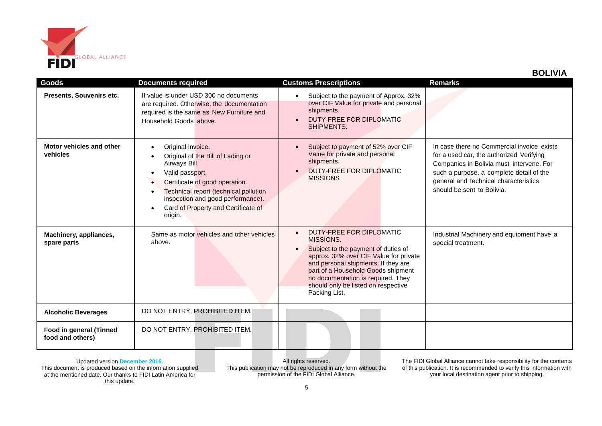

| <b>Goods</b>                                | <b>Documents required</b>                                                                                                                                                                                                                                    | <b>Customs Prescriptions</b>                                                                                                                                                                                                                                                                                   | <b>Remarks</b>                                                                                                                                                                                                                                        |
|---------------------------------------------|--------------------------------------------------------------------------------------------------------------------------------------------------------------------------------------------------------------------------------------------------------------|----------------------------------------------------------------------------------------------------------------------------------------------------------------------------------------------------------------------------------------------------------------------------------------------------------------|-------------------------------------------------------------------------------------------------------------------------------------------------------------------------------------------------------------------------------------------------------|
| Presents, Souvenirs etc.                    | If value is under USD 300 no documents<br>are required. Otherwise, the documentation<br>required is the same as New Furniture and<br>Household Goods above.                                                                                                  | Subject to the payment of Approx. 32%<br>over CIF Value for private and personal<br>shipments.<br>DUTY-FREE FOR DIPLOMATIC<br>SHIPMENTS.                                                                                                                                                                       |                                                                                                                                                                                                                                                       |
| Motor vehicles and other<br>vehicles        | Original invoice.<br>Original of the Bill of Lading or<br>Airways Bill.<br>Valid passport.<br>Certificate of good operation.<br>Technical report (technical pollution<br>inspection and good performance).<br>Card of Property and Certificate of<br>origin. | Subject to payment of 52% over CIF<br>Value for private and personal<br>shipments.<br>DUTY-FREE FOR DIPLOMATIC<br><b>MISSIONS</b>                                                                                                                                                                              | In case there no Commercial invoice exists<br>for a used car, the authorized Verifying<br>Companies in Bolivia must intervene. For<br>such a purpose, a complete detail of the<br>general and technical characteristics<br>should be sent to Bolivia. |
| Machinery, appliances,<br>spare parts       | Same as motor vehicles and other vehicles<br>above.                                                                                                                                                                                                          | DUTY-FREE FOR DIPLOMATIC<br>$\bullet$<br>MISSIONS.<br>Subject to the payment of duties of<br>approx. 32% over CIF Value for private<br>and personal shipments. If they are<br>part of a Household Goods shipment<br>no documentation is required. They<br>should only be listed on respective<br>Packing List. | Industrial Machinery and equipment have a<br>special treatment.                                                                                                                                                                                       |
| <b>Alcoholic Beverages</b>                  | DO NOT ENTRY, PROHIBITED ITEM.                                                                                                                                                                                                                               |                                                                                                                                                                                                                                                                                                                |                                                                                                                                                                                                                                                       |
| Food in general (Tinned<br>food and others) | DO NOT ENTRY, PROHIBITED ITEM.                                                                                                                                                                                                                               |                                                                                                                                                                                                                                                                                                                |                                                                                                                                                                                                                                                       |

All rights reserved. This publication may not be reproduced in any form without the permission of the FIDI Global Alliance.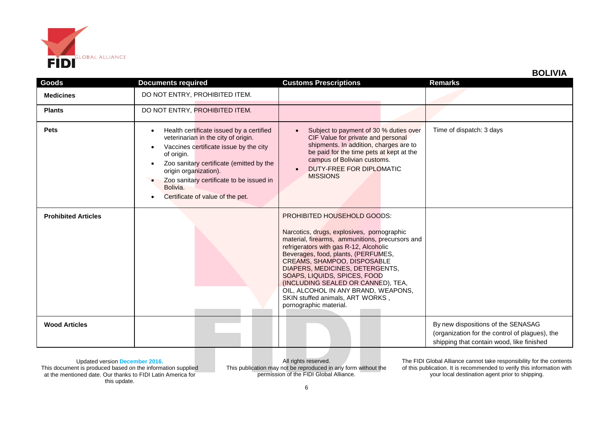

 **BOLIVIA**

| Goods                      | <b>Documents required</b>                                                                                                                                                                                                                                                                                | <b>Customs Prescriptions</b>                                                                                                                                                                                                                                                                                                                                                                                                                               | <b>Remarks</b>                                                                                                                    |
|----------------------------|----------------------------------------------------------------------------------------------------------------------------------------------------------------------------------------------------------------------------------------------------------------------------------------------------------|------------------------------------------------------------------------------------------------------------------------------------------------------------------------------------------------------------------------------------------------------------------------------------------------------------------------------------------------------------------------------------------------------------------------------------------------------------|-----------------------------------------------------------------------------------------------------------------------------------|
| <b>Medicines</b>           | DO NOT ENTRY, PROHIBITED ITEM.                                                                                                                                                                                                                                                                           |                                                                                                                                                                                                                                                                                                                                                                                                                                                            |                                                                                                                                   |
| <b>Plants</b>              | DO NOT ENTRY, PROHIBITED ITEM.                                                                                                                                                                                                                                                                           |                                                                                                                                                                                                                                                                                                                                                                                                                                                            |                                                                                                                                   |
| <b>Pets</b>                | Health certificate issued by a certified<br>veterinarian in the city of origin.<br>Vaccines certificate issue by the city<br>of origin.<br>Zoo sanitary certificate (emitted by the<br>origin organization).<br>Zoo sanitary certificate to be issued in<br>Bolivia.<br>Certificate of value of the pet. | Subject to payment of 30 % duties over<br>CIF Value for private and personal<br>shipments. In addition, charges are to<br>be paid for the time pets at kept at the<br>campus of Bolivian customs.<br>DUTY-FREE FOR DIPLOMATIC<br>$\bullet$<br><b>MISSIONS</b>                                                                                                                                                                                              | Time of dispatch: 3 days                                                                                                          |
| <b>Prohibited Articles</b> |                                                                                                                                                                                                                                                                                                          | PROHIBITED HOUSEHOLD GOODS:<br>Narcotics, drugs, explosives, pornographic<br>material, firearms, ammunitions, precursors and<br>refrigerators with gas R-12, Alcoholic<br>Beverages, food, plants, (PERFUMES,<br>CREAMS, SHAMPOO, DISPOSABLE<br>DIAPERS, MEDICINES, DETERGENTS,<br>SOAPS, LIQUIDS, SPICES, FOOD<br>(INCLUDING SEALED OR CANNED), TEA,<br>OIL, ALCOHOL IN ANY BRAND, WEAPONS,<br>SKIN stuffed animals, ART WORKS,<br>pornographic material. |                                                                                                                                   |
| <b>Wood Articles</b>       |                                                                                                                                                                                                                                                                                                          |                                                                                                                                                                                                                                                                                                                                                                                                                                                            | By new dispositions of the SENASAG<br>(organization for the control of plagues), the<br>shipping that contain wood, like finished |

Updated version **December 2016.** This document is produced based on the information supplied at the mentioned date. Our thanks to FIDI Latin America for this update.

All rights reserved. This publication may not be reproduced in any form without the permission of the FIDI Global Alliance.